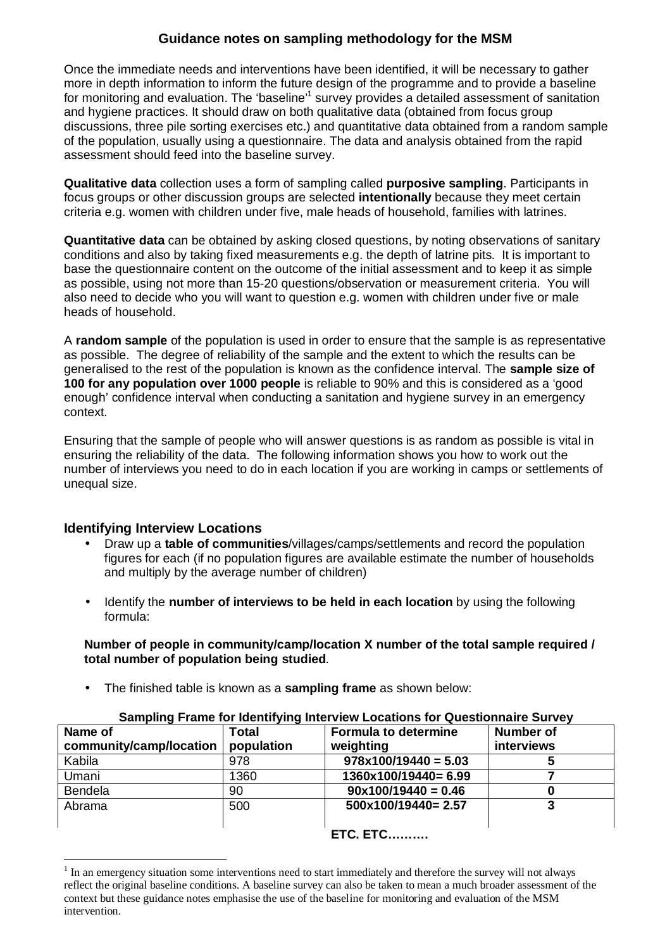### **Guidance notes on sampling methodology for the MSM**

Once the immediate needs and interventions have been identified, it will be necessary to gather more in depth information to inform the future design of the programme and to provide a baseline for monitoring and evaluation. The 'baseline'<sup>1</sup> survey provides a detailed assessment of sanitation and hygiene practices. It should draw on both qualitative data (obtained from focus group discussions, three pile sorting exercises etc.) and quantitative data obtained from a random sample of the population, usually using a questionnaire. The data and analysis obtained from the rapid assessment should feed into the baseline survey.

**Qualitative data** collection uses a form of sampling called **purposive sampling**. Participants in focus groups or other discussion groups are selected **intentionally** because they meet certain criteria e.g. women with children under five, male heads of household, families with latrines.

**Quantitative data** can be obtained by asking closed questions, by noting observations of sanitary conditions and also by taking fixed measurements e.g. the depth of latrine pits. It is important to base the questionnaire content on the outcome of the initial assessment and to keep it as simple as possible, using not more than 15-20 questions/observation or measurement criteria. You will also need to decide who you will want to question e.g. women with children under five or male heads of household.

A **random sample** of the population is used in order to ensure that the sample is as representative as possible. The degree of reliability of the sample and the extent to which the results can be generalised to the rest of the population is known as the confidence interval. The **sample size of 100 for any population over 1000 people** is reliable to 90% and this is considered as a 'good enough' confidence interval when conducting a sanitation and hygiene survey in an emergency context.

Ensuring that the sample of people who will answer questions is as random as possible is vital in ensuring the reliability of the data. The following information shows you how to work out the number of interviews you need to do in each location if you are working in camps or settlements of unequal size.

#### **Identifying Interview Locations**

 $\overline{a}$ 

- Draw up a **table of communities**/villages/camps/settlements and record the population figures for each (if no population figures are available estimate the number of households and multiply by the average number of children)
- Identify the **number of interviews to be held in each location** by using the following formula:

**Number of people in community/camp/location X number of the total sample required / total number of population being studied**.

• The finished table is known as a **sampling frame** as shown below:

| <u>Udinpling France for Romanying into flow Eugations for Quoditonnance Ourly f</u> |            |                             |                  |  |  |  |  |  |  |  |  |
|-------------------------------------------------------------------------------------|------------|-----------------------------|------------------|--|--|--|--|--|--|--|--|
| Name of                                                                             | Total      | <b>Formula to determine</b> | <b>Number of</b> |  |  |  |  |  |  |  |  |
| community/camp/location                                                             | population | weighting                   | interviews       |  |  |  |  |  |  |  |  |
| Kabila                                                                              | 978        | $978x100/19440 = 5.03$      |                  |  |  |  |  |  |  |  |  |
| Umani                                                                               | 1360       | 1360x100/19440= 6.99        |                  |  |  |  |  |  |  |  |  |
| <b>Bendela</b>                                                                      | 90         | $90x100/19440 = 0.46$       |                  |  |  |  |  |  |  |  |  |
| Abrama                                                                              | 500        | 500x100/19440= 2.57         |                  |  |  |  |  |  |  |  |  |
|                                                                                     |            |                             |                  |  |  |  |  |  |  |  |  |
|                                                                                     |            | <b>ETC. ETC</b>             |                  |  |  |  |  |  |  |  |  |

#### **Sampling Frame for Identifying Interview Locations for Questionnaire Survey**

<sup>1</sup> In an emergency situation some interventions need to start immediately and therefore the survey will not always reflect the original baseline conditions. A baseline survey can also be taken to mean a much broader assessment of the context but these guidance notes emphasise the use of the baseline for monitoring and evaluation of the MSM intervention.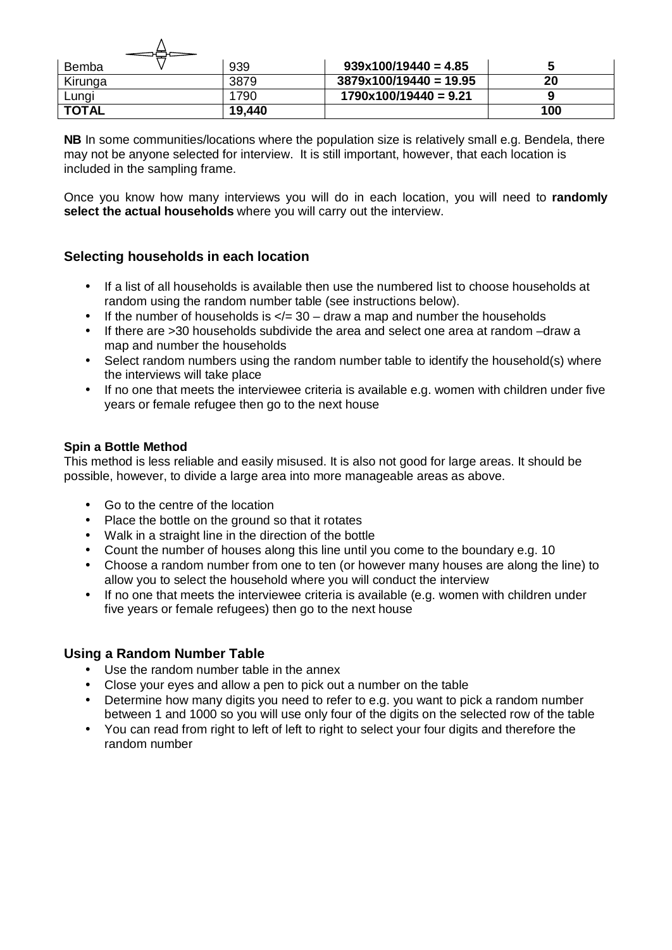| Bemba        | 939    | $939x100/19440 = 4.85$   |     |
|--------------|--------|--------------------------|-----|
| Kirunga      | 3879   | $3879x100/19440 = 19.95$ | 20  |
| Lungi        | 790    | $1790x100/19440 = 9.21$  |     |
| <b>TOTAL</b> | 19,440 |                          | 100 |

**NB** In some communities/locations where the population size is relatively small e.g. Bendela, there may not be anyone selected for interview. It is still important, however, that each location is included in the sampling frame.

Once you know how many interviews you will do in each location, you will need to **randomly select the actual households** where you will carry out the interview.

### **Selecting households in each location**

 $\lambda$ 

- If a list of all households is available then use the numbered list to choose households at random using the random number table (see instructions below).
- If the number of households is  $\lt/=$  30 draw a map and number the households
- If there are >30 households subdivide the area and select one area at random –draw a map and number the households
- Select random numbers using the random number table to identify the household(s) where the interviews will take place
- If no one that meets the interviewee criteria is available e.g. women with children under five years or female refugee then go to the next house

#### **Spin a Bottle Method**

This method is less reliable and easily misused. It is also not good for large areas. It should be possible, however, to divide a large area into more manageable areas as above.

- Go to the centre of the location
- Place the bottle on the ground so that it rotates
- Walk in a straight line in the direction of the bottle
- Count the number of houses along this line until you come to the boundary e.g. 10
- Choose a random number from one to ten (or however many houses are along the line) to allow you to select the household where you will conduct the interview
- If no one that meets the interviewee criteria is available (e.g. women with children under five years or female refugees) then go to the next house

#### **Using a Random Number Table**

- Use the random number table in the annex
- Close your eyes and allow a pen to pick out a number on the table
- Determine how many digits you need to refer to e.g. you want to pick a random number between 1 and 1000 so you will use only four of the digits on the selected row of the table
- You can read from right to left of left to right to select your four digits and therefore the random number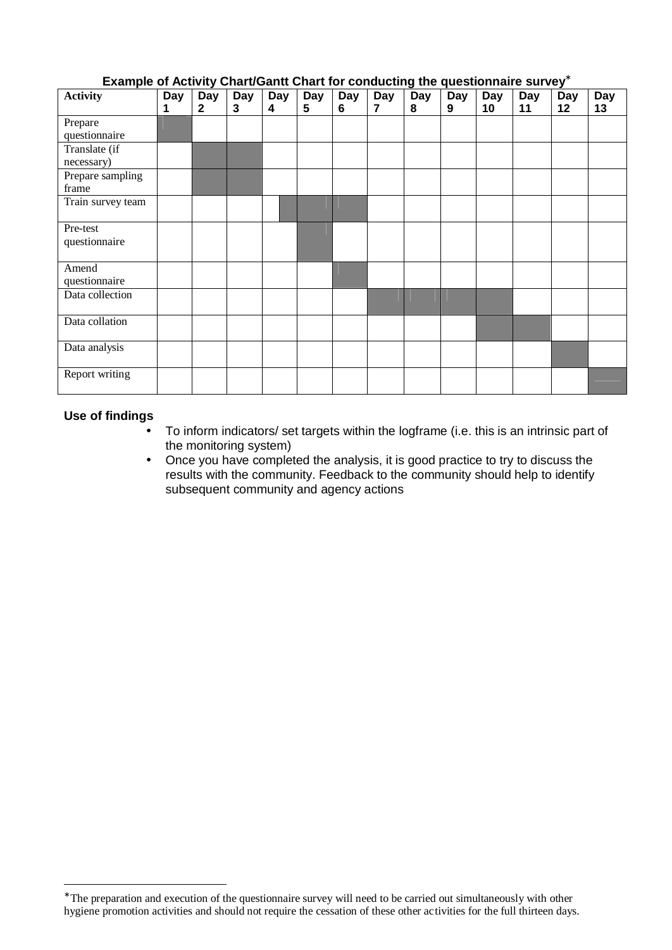| LAGINDIG OF ACTIVITY CHAITO CANTE CHAIT TOF CONGUCTING THE QUESTIONING IT SUPPLY |     |                  |     |            |     |     |     |     |            |                  |                  |     |            |
|----------------------------------------------------------------------------------|-----|------------------|-----|------------|-----|-----|-----|-----|------------|------------------|------------------|-----|------------|
| <b>Activity</b>                                                                  | Day | $\overline{Day}$ | Day | <b>Day</b> | Day | Day | Day | Day | <b>Day</b> | $\overline{Day}$ | $\overline{Day}$ | Day | <b>Day</b> |
|                                                                                  | 1   | $\mathbf{2}$     | 3   | 4          | 5   | 6   | 7   | 8   | 9          | 10               | 11               | 12  | 13         |
| Prepare                                                                          |     |                  |     |            |     |     |     |     |            |                  |                  |     |            |
| questionnaire                                                                    |     |                  |     |            |     |     |     |     |            |                  |                  |     |            |
|                                                                                  |     |                  |     |            |     |     |     |     |            |                  |                  |     |            |
| Translate (if                                                                    |     |                  |     |            |     |     |     |     |            |                  |                  |     |            |
| necessary)                                                                       |     |                  |     |            |     |     |     |     |            |                  |                  |     |            |
| Prepare sampling                                                                 |     |                  |     |            |     |     |     |     |            |                  |                  |     |            |
| frame                                                                            |     |                  |     |            |     |     |     |     |            |                  |                  |     |            |
| Train survey team                                                                |     |                  |     |            |     |     |     |     |            |                  |                  |     |            |
|                                                                                  |     |                  |     |            |     |     |     |     |            |                  |                  |     |            |
| Pre-test                                                                         |     |                  |     |            |     |     |     |     |            |                  |                  |     |            |
| questionnaire                                                                    |     |                  |     |            |     |     |     |     |            |                  |                  |     |            |
|                                                                                  |     |                  |     |            |     |     |     |     |            |                  |                  |     |            |
| Amend                                                                            |     |                  |     |            |     |     |     |     |            |                  |                  |     |            |
| questionnaire                                                                    |     |                  |     |            |     |     |     |     |            |                  |                  |     |            |
| Data collection                                                                  |     |                  |     |            |     |     |     |     |            |                  |                  |     |            |
|                                                                                  |     |                  |     |            |     |     |     |     |            |                  |                  |     |            |
| Data collation                                                                   |     |                  |     |            |     |     |     |     |            |                  |                  |     |            |
|                                                                                  |     |                  |     |            |     |     |     |     |            |                  |                  |     |            |
| Data analysis                                                                    |     |                  |     |            |     |     |     |     |            |                  |                  |     |            |
|                                                                                  |     |                  |     |            |     |     |     |     |            |                  |                  |     |            |
| <b>Report writing</b>                                                            |     |                  |     |            |     |     |     |     |            |                  |                  |     |            |
|                                                                                  |     |                  |     |            |     |     |     |     |            |                  |                  |     |            |

### **Example of Activity Chart/Gantt Chart for conducting the questionnaire survey\***

#### **Use of findings**

 $\overline{a}$ 

- To inform indicators/ set targets within the logframe (i.e. this is an intrinsic part of the monitoring system)
- Once you have completed the analysis, it is good practice to try to discuss the results with the community. Feedback to the community should help to identify subsequent community and agency actions

<sup>∗</sup> The preparation and execution of the questionnaire survey will need to be carried out simultaneously with other hygiene promotion activities and should not require the cessation of these other activities for the full thirteen days.